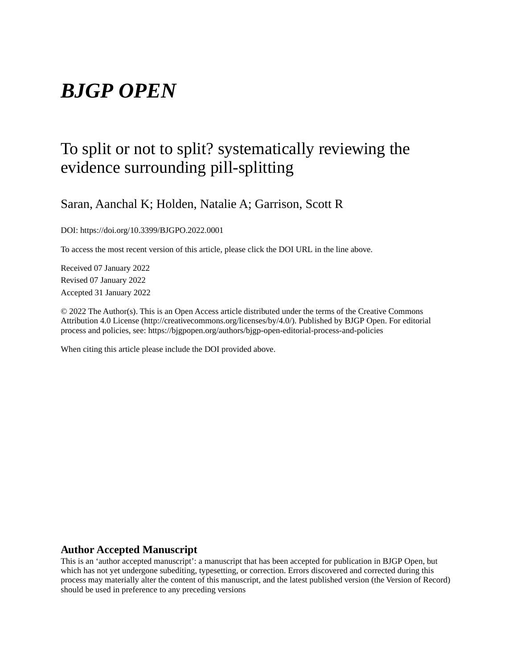# *BJGP OPEN*

# To split or not to split? systematically reviewing the evidence surrounding pill-splitting

Saran, Aanchal K; Holden, Natalie A; Garrison, Scott R

DOI: https://doi.org/10.3399/BJGPO.2022.0001

To access the most recent version of this article, please click the DOI URL in the line above.

Received 07 January 2022 Revised 07 January 2022 Accepted 31 January 2022

© 2022 The Author(s). This is an Open Access article distributed under the terms of the Creative Commons Attribution 4.0 License (http://creativecommons.org/licenses/by/4.0/). Published by BJGP Open. For editorial process and policies, see: https://bjgpopen.org/authors/bjgp-open-editorial-process-and-policies

When citing this article please include the DOI provided above.

#### **Author Accepted Manuscript**

This is an 'author accepted manuscript': a manuscript that has been accepted for publication in BJGP Open, but which has not yet undergone subediting, typesetting, or correction. Errors discovered and corrected during this process may materially alter the content of this manuscript, and the latest published version (the Version of Record) should be used in preference to any preceding versions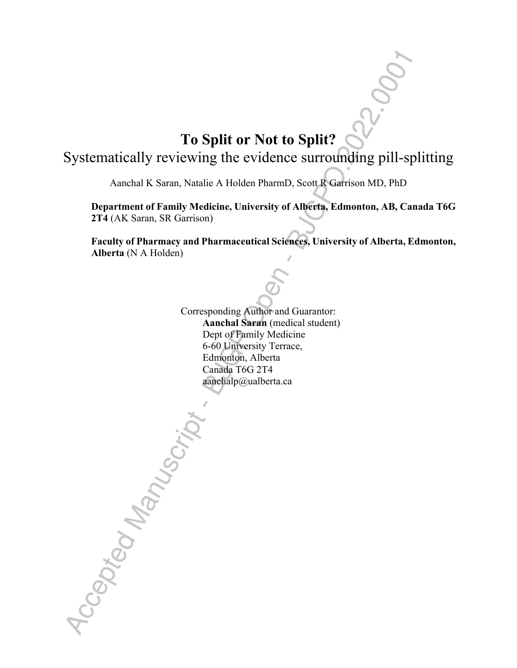# **To Split or Not to Split?**

Systematically reviewing the evidence surrounding pill-splitting

Aanchal K Saran, Natalie A Holden PharmD, Scott R Garrison MD, PhD

**Department of Family Medicine, University of Alberta, Edmonton, AB, Canada T6G 2T4** (AK Saran, SR Garrison)

**Faculty of Pharmacy and Pharmaceutical Sciences, University of Alberta, Edmonton, Alberta** (N A Holden)

Corresponding Author and Guarantor:  **Aanchal Saran** (medical student) Dept of Family Medicine 6-60 University Terrace, Edmonton, Alberta Canada T6G 2T4 aanchalp@ualberta.ca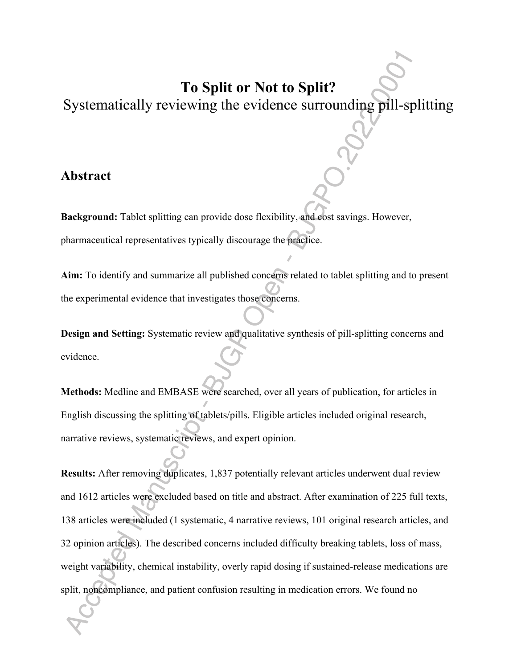# **To Split or Not to Split?**

Systematically reviewing the evidence surrounding pill-splitting

### **Abstract**

**Background:** Tablet splitting can provide dose flexibility, and cost savings. However, pharmaceutical representatives typically discourage the practice.

**Aim:** To identify and summarize all published concerns related to tablet splitting and to present the experimental evidence that investigates those concerns.

**Design and Setting:** Systematic review and qualitative synthesis of pill-splitting concerns and evidence.

**Methods:** Medline and EMBASE were searched, over all years of publication, for articles in English discussing the splitting of tablets/pills. Eligible articles included original research, narrative reviews, systematic reviews, and expert opinion.

**Results:** After removing duplicates, 1,837 potentially relevant articles underwent dual review and 1612 articles were excluded based on title and abstract. After examination of 225 full texts, 138 articles were included (1 systematic, 4 narrative reviews, 101 original research articles, and 32 opinion articles). The described concerns included difficulty breaking tablets, loss of mass, weight variability, chemical instability, overly rapid dosing if sustained-release medications are split, noncompliance, and patient confusion resulting in medication errors. We found no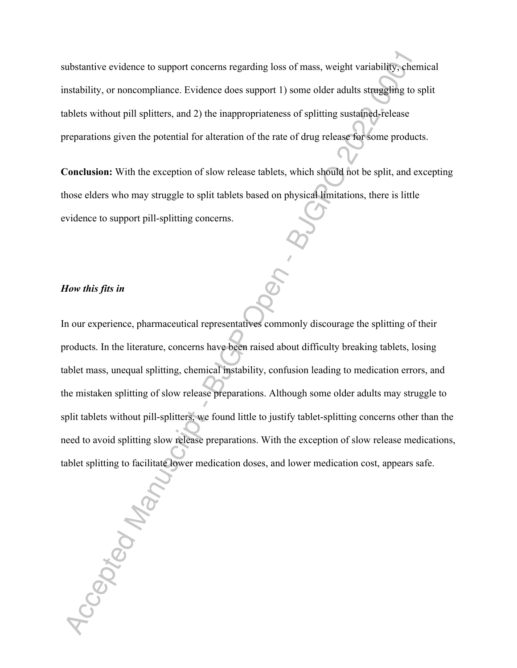substantive evidence to support concerns regarding loss of mass, weight variability, chemical instability, or noncompliance. Evidence does support 1) some older adults struggling to split tablets without pill splitters, and 2) the inappropriateness of splitting sustained-release preparations given the potential for alteration of the rate of drug release for some products.

**Conclusion:** With the exception of slow release tablets, which should not be split, and excepting those elders who may struggle to split tablets based on physical limitations, there is little evidence to support pill-splitting concerns.

#### *How this fits in*

In our experience, pharmaceutical representatives commonly discourage the splitting of their products. In the literature, concerns have been raised about difficulty breaking tablets, losing tablet mass, unequal splitting, chemical instability, confusion leading to medication errors, and the mistaken splitting of slow release preparations. Although some older adults may struggle to split tablets without pill-splitters, we found little to justify tablet-splitting concerns other than the need to avoid splitting slow release preparations. With the exception of slow release medications, tablet splitting to facilitate lower medication doses, and lower medication cost, appears safe.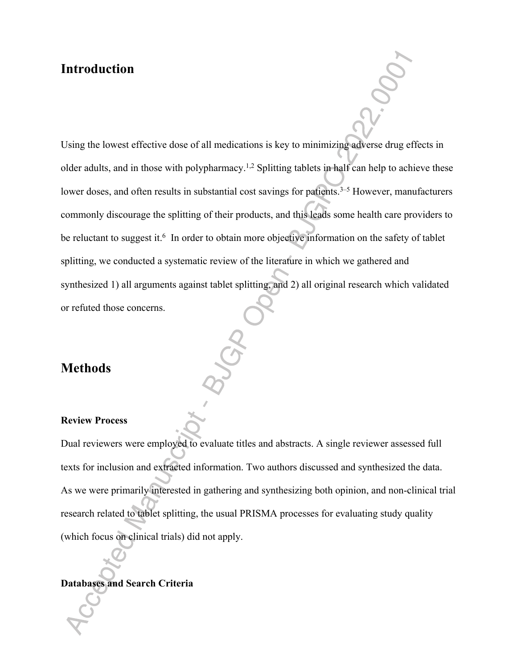### **Introduction**

Using the lowest effective dose of all medications is key to minimizing adverse drug effects in older adults, and in those with polypharmacy.1,2 Splitting tablets in half can help to achieve these lower doses, and often results in substantial cost savings for patients.<sup>3–5</sup> However, manufacturers commonly discourage the splitting of their products, and this leads some health care providers to be reluctant to suggest it.<sup>6</sup> In order to obtain more objective information on the safety of tablet splitting, we conducted a systematic review of the literature in which we gathered and synthesized 1) all arguments against tablet splitting, and 2) all original research which validated or refuted those concerns.

## **Methods**

#### **Review Process**

Dual reviewers were employed to evaluate titles and abstracts. A single reviewer assessed full texts for inclusion and extracted information. Two authors discussed and synthesized the data. As we were primarily interested in gathering and synthesizing both opinion, and non-clinical trial research related to tablet splitting, the usual PRISMA processes for evaluating study quality (which focus on clinical trials) did not apply.

#### **Databases and Search Criteria**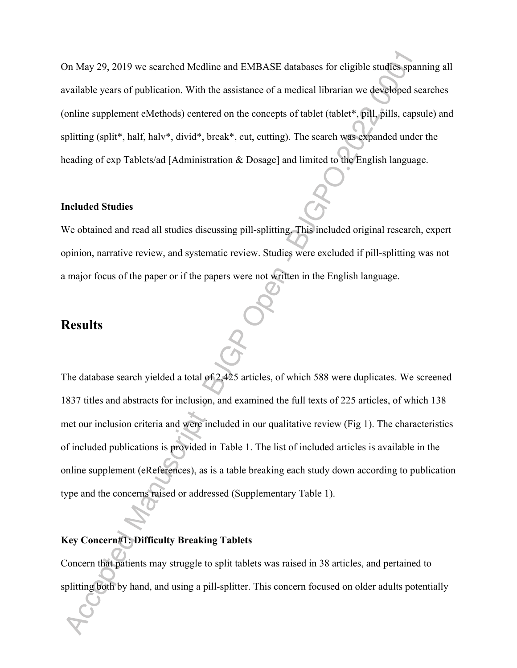On May 29, 2019 we searched Medline and EMBASE databases for eligible studies spanning all available years of publication. With the assistance of a medical librarian we developed searches (online supplement eMethods) centered on the concepts of tablet (tablet\*, pill, pills, capsule) and splitting (split\*, half, halv\*, divid\*, break\*, cut, cutting). The search was expanded under the heading of exp Tablets/ad [Administration & Dosage] and limited to the English language.

#### **Included Studies**

We obtained and read all studies discussing pill-splitting. This included original research, expert opinion, narrative review, and systematic review. Studies were excluded if pill-splitting was not a major focus of the paper or if the papers were not written in the English language.

### **Results**

The database search yielded a total of 2,425 articles, of which 588 were duplicates. We screened 1837 titles and abstracts for inclusion, and examined the full texts of 225 articles, of which 138 met our inclusion criteria and were included in our qualitative review (Fig 1). The characteristics of included publications is provided in Table 1. The list of included articles is available in the online supplement (eReferences), as is a table breaking each study down according to publication type and the concerns raised or addressed (Supplementary Table 1).

#### **Key Concern#1: Difficulty Breaking Tablets**

Concern that patients may struggle to split tablets was raised in 38 articles, and pertained to splitting both by hand, and using a pill-splitter. This concern focused on older adults potentially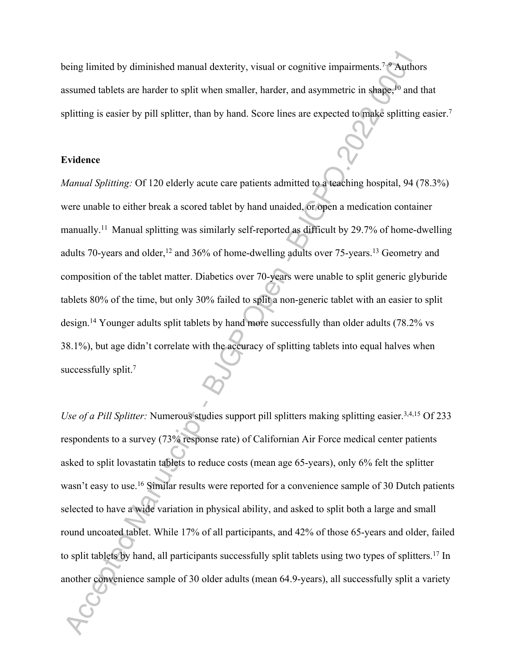being limited by diminished manual dexterity, visual or cognitive impairments.<sup>7–9</sup> Authors assumed tablets are harder to split when smaller, harder, and asymmetric in shape,<sup>10</sup> and that splitting is easier by pill splitter, than by hand. Score lines are expected to make splitting easier.<sup>7</sup>

#### **Evidence**

*Manual Splitting:* Of 120 elderly acute care patients admitted to a teaching hospital, 94 (78.3%) were unable to either break a scored tablet by hand unaided, or open a medication container manually.<sup>11</sup> Manual splitting was similarly self-reported as difficult by 29.7% of home-dwelling adults 70-years and older,<sup>12</sup> and 36% of home-dwelling adults over 75-years.<sup>13</sup> Geometry and composition of the tablet matter. Diabetics over 70-years were unable to split generic glyburide tablets 80% of the time, but only 30% failed to split a non-generic tablet with an easier to split design.<sup>14</sup> Younger adults split tablets by hand more successfully than older adults (78.2% vs 38.1%), but age didn't correlate with the accuracy of splitting tablets into equal halves when successfully split.<sup>7</sup>

*Use of a Pill Splitter:* Numerous studies support pill splitters making splitting easier.<sup>3,4,15</sup> Of 233 respondents to a survey (73% response rate) of Californian Air Force medical center patients asked to split lovastatin tablets to reduce costs (mean age 65-years), only 6% felt the splitter wasn't easy to use.<sup>16</sup> Similar results were reported for a convenience sample of 30 Dutch patients selected to have a wide variation in physical ability, and asked to split both a large and small round uncoated tablet. While 17% of all participants, and 42% of those 65-years and older, failed to split tablets by hand, all participants successfully split tablets using two types of splitters.<sup>17</sup> In another convenience sample of 30 older adults (mean 64.9-years), all successfully split a variety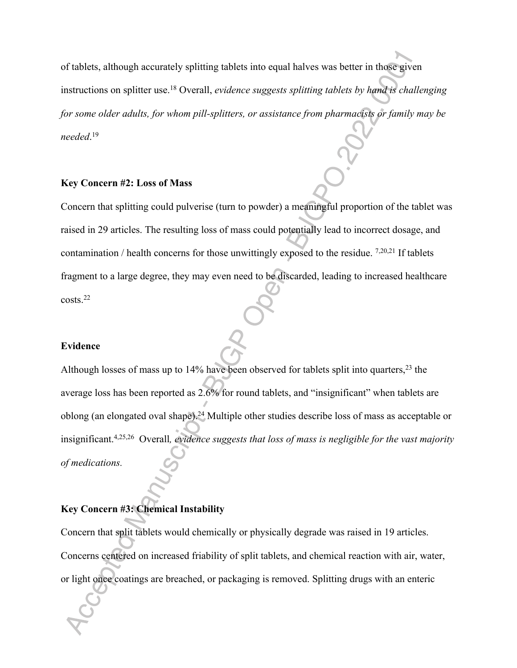of tablets, although accurately splitting tablets into equal halves was better in those given instructions on splitter use.<sup>18</sup> Overall, *evidence suggests splitting tablets by hand is challenging for some older adults, for whom pill-splitters, or assistance from pharmacists or family may be needed*. 19

### **Key Concern #2: Loss of Mass**

Concern that splitting could pulverise (turn to powder) a meaningful proportion of the tablet was raised in 29 articles. The resulting loss of mass could potentially lead to incorrect dosage, and contamination / health concerns for those unwittingly exposed to the residue. 7,20,21 If tablets fragment to a large degree, they may even need to be discarded, leading to increased healthcare  $costs<sup>22</sup>$ 

#### **Evidence**

Although losses of mass up to 14% have been observed for tablets split into quarters,<sup>23</sup> the average loss has been reported as 2.6% for round tablets, and "insignificant" when tablets are oblong (an elongated oval shape).<sup>24</sup> Multiple other studies describe loss of mass as acceptable or insignificant.4,25,26 Overall*, evidence suggests that loss of mass is negligible for the vast majority of medications.* 

#### **Key Concern #3: Chemical Instability**

Concern that split tablets would chemically or physically degrade was raised in 19 articles. Concerns centered on increased friability of split tablets, and chemical reaction with air, water, or light once coatings are breached, or packaging is removed. Splitting drugs with an enteric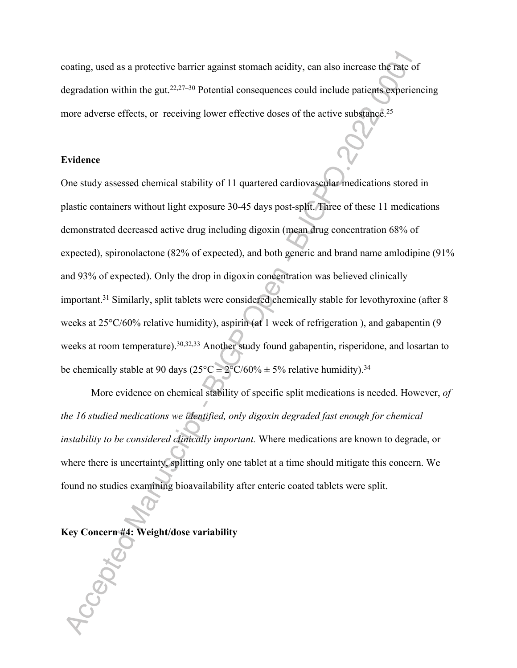coating, used as a protective barrier against stomach acidity, can also increase the rate of degradation within the gut.22,27–30 Potential consequences could include patients experiencing more adverse effects, or receiving lower effective doses of the active substance.<sup>25</sup>

### **Evidence**

One study assessed chemical stability of 11 quartered cardiovascular medications stored in plastic containers without light exposure 30-45 days post-split. Three of these 11 medications demonstrated decreased active drug including digoxin (mean drug concentration 68% of expected), spironolactone (82% of expected), and both generic and brand name amlodipine (91% and 93% of expected). Only the drop in digoxin concentration was believed clinically important.<sup>31</sup> Similarly, split tablets were considered chemically stable for levothyroxine (after 8 weeks at 25°C/60% relative humidity), aspirin (at 1 week of refrigeration ), and gabapentin (9 weeks at room temperature).<sup>30,32,33</sup> Another study found gabapentin, risperidone, and losartan to be chemically stable at 90 days ( $25^{\circ}C \pm 2^{\circ}C/60\% \pm 5\%$  relative humidity).<sup>34</sup>

More evidence on chemical stability of specific split medications is needed. However, *of the 16 studied medications we identified, only digoxin degraded fast enough for chemical instability to be considered clinically important.* Where medications are known to degrade, or where there is uncertainty, splitting only one tablet at a time should mitigate this concern. We found no studies examining bioavailability after enteric coated tablets were split.

#### **Key Concern #4: Weight/dose variability**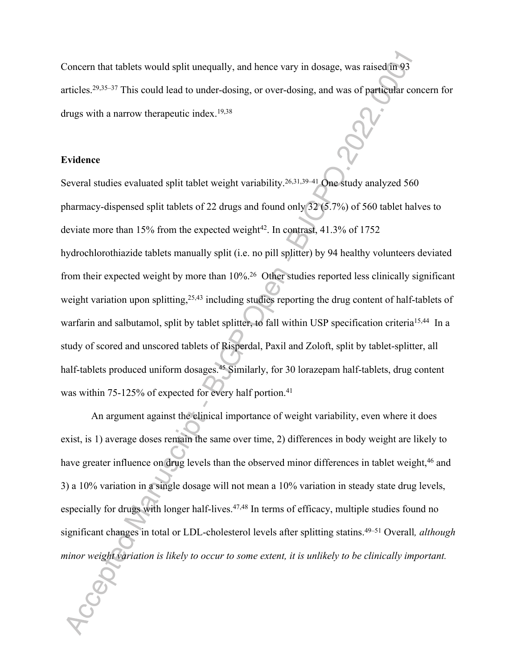Concern that tablets would split unequally, and hence vary in dosage, was raised in 93 articles.29,35–37 This could lead to under-dosing, or over-dosing, and was of particular concern for drugs with a narrow therapeutic index.19,38

#### **Evidence**

Several studies evaluated split tablet weight variability.<sup>26,31,39–41</sup> One study analyzed 560 pharmacy-dispensed split tablets of 22 drugs and found only 32 (5.7%) of 560 tablet halves to deviate more than 15% from the expected weight<sup>42</sup>. In contrast, 41.3% of 1752 hydrochlorothiazide tablets manually split (i.e. no pill splitter) by 94 healthy volunteers deviated from their expected weight by more than 10%.<sup>26</sup> Other studies reported less clinically significant weight variation upon splitting,<sup>25,43</sup> including studies reporting the drug content of half-tablets of warfarin and salbutamol, split by tablet splitter, to fall within USP specification criteria<sup>15,44</sup> In a study of scored and unscored tablets of Risperdal, Paxil and Zoloft, split by tablet-splitter, all half-tablets produced uniform dosages.<sup>45</sup> Similarly, for 30 lorazepam half-tablets, drug content was within 75-125% of expected for every half portion.<sup>41</sup>

 An argument against the clinical importance of weight variability, even where it does exist, is 1) average doses remain the same over time, 2) differences in body weight are likely to have greater influence on drug levels than the observed minor differences in tablet weight,<sup>46</sup> and 3) a 10% variation in a single dosage will not mean a 10% variation in steady state drug levels, especially for drugs with longer half-lives.<sup>47,48</sup> In terms of efficacy, multiple studies found no significant changes in total or LDL-cholesterol levels after splitting statins.49–51 Overall*, although minor weight variation is likely to occur to some extent, it is unlikely to be clinically important.*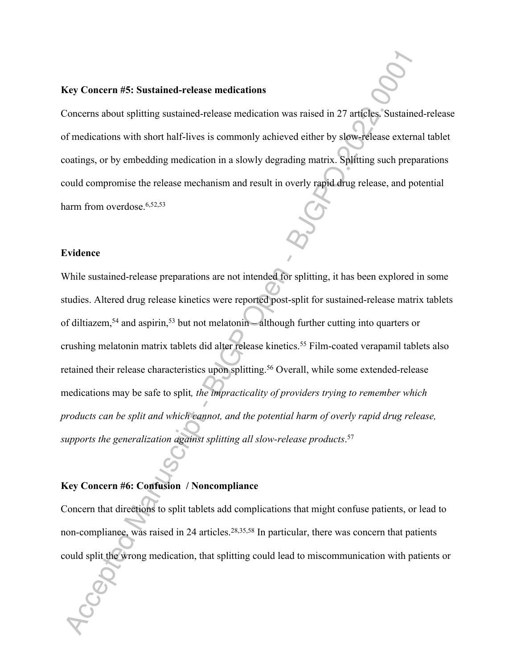#### **Key Concern #5: Sustained-release medications**

Concerns about splitting sustained-release medication was raised in 27 articles. Sustained-release of medications with short half-lives is commonly achieved either by slow-release external tablet coatings, or by embedding medication in a slowly degrading matrix. Splitting such preparations could compromise the release mechanism and result in overly rapid drug release, and potential harm from overdose.<sup>6,52,53</sup>

#### **Evidence**

While sustained-release preparations are not intended for splitting, it has been explored in some studies. Altered drug release kinetics were reported post-split for sustained-release matrix tablets of diltiazem,<sup>54</sup> and aspirin,<sup>53</sup> but not melatonin – although further cutting into quarters or crushing melatonin matrix tablets did alter release kinetics.<sup>55</sup> Film-coated verapamil tablets also retained their release characteristics upon splitting.<sup>56</sup> Overall, while some extended-release medications may be safe to split*, the impracticality of providers trying to remember which products can be split and which cannot, and the potential harm of overly rapid drug release, supports the generalization against splitting all slow-release products*. 57

#### **Key Concern #6: Confusion / Noncompliance**

Concern that directions to split tablets add complications that might confuse patients, or lead to non-compliance, was raised in 24 articles.<sup>28,35,58</sup> In particular, there was concern that patients could split the wrong medication, that splitting could lead to miscommunication with patients or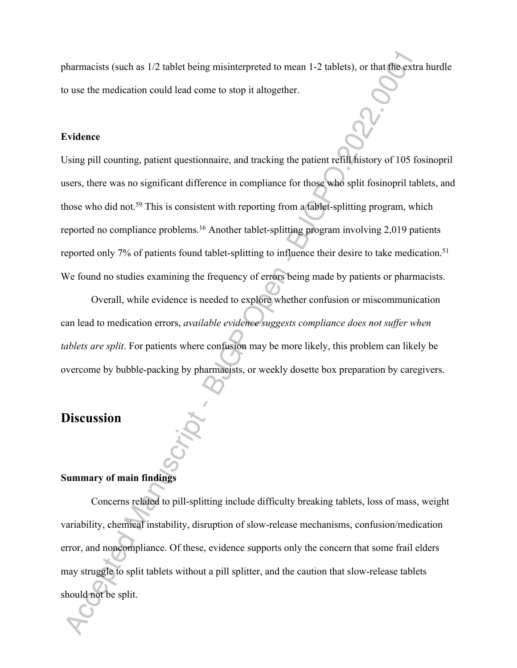pharmacists (such as 1/2 tablet being misinterpreted to mean 1-2 tablets), or that the extra hurdle to use the medication could lead come to stop it altogether.

#### **Evidence**

Using pill counting, patient questionnaire, and tracking the patient refill history of 105 fosinopril users, there was no significant difference in compliance for those who split fosinopril tablets, and those who did not.<sup>59</sup> This is consistent with reporting from a tablet-splitting program, which reported no compliance problems.<sup>16</sup> Another tablet-splitting program involving 2,019 patients reported only 7% of patients found tablet-splitting to influence their desire to take medication.<sup>51</sup> We found no studies examining the frequency of errors being made by patients or pharmacists.

Overall, while evidence is needed to explore whether confusion or miscommunication can lead to medication errors, *available evidence suggests compliance does not suffer when tablets are split*. For patients where confusion may be more likely, this problem can likely be overcome by bubble-packing by pharmacists, or weekly dosette box preparation by caregivers.

### **Discussion**

#### **Summary of main findings**

Concerns related to pill-splitting include difficulty breaking tablets, loss of mass, weight variability, chemical instability, disruption of slow-release mechanisms, confusion/medication error, and noncompliance. Of these, evidence supports only the concern that some frail elders may struggle to split tablets without a pill splitter, and the caution that slow-release tablets should not be split.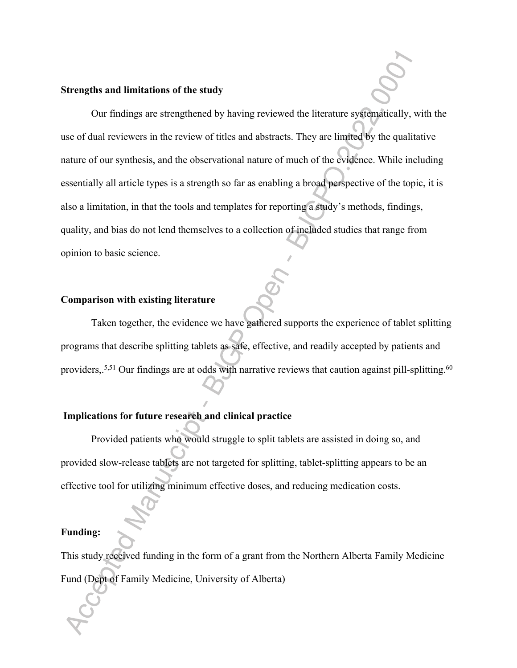#### **Strengths and limitations of the study**

Our findings are strengthened by having reviewed the literature systematically, with the use of dual reviewers in the review of titles and abstracts. They are limited by the qualitative nature of our synthesis, and the observational nature of much of the evidence. While including essentially all article types is a strength so far as enabling a broad perspective of the topic, it is also a limitation, in that the tools and templates for reporting a study's methods, findings, quality, and bias do not lend themselves to a collection of included studies that range from opinion to basic science.

#### **Comparison with existing literature**

Taken together, the evidence we have gathered supports the experience of tablet splitting programs that describe splitting tablets as safe, effective, and readily accepted by patients and providers,.<sup>5,51</sup> Our findings are at odds with narrative reviews that caution against pill-splitting.<sup>60</sup>

#### **Implications for future research and clinical practice**

Provided patients who would struggle to split tablets are assisted in doing so, and provided slow-release tablets are not targeted for splitting, tablet-splitting appears to be an effective tool for utilizing minimum effective doses, and reducing medication costs.

#### **Funding:**

This study received funding in the form of a grant from the Northern Alberta Family Medicine Fund (Dept of Family Medicine, University of Alberta)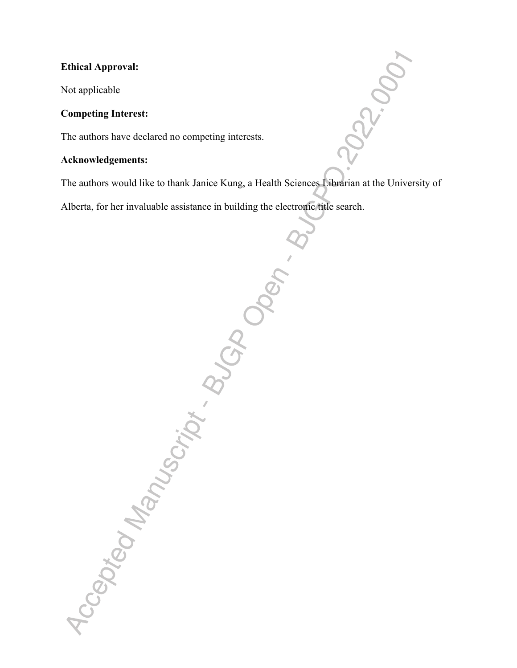### **Ethical Approval:**

Not applicable

#### **Competing Interest:**

The authors have declared no competing interests.

Accepted Manuscript Blogden - B

#### **Acknowledgements:**

The authors would like to thank Janice Kung, a Health Sciences Librarian at the University of

R2000

Alberta, for her invaluable assistance in building the electronic title search.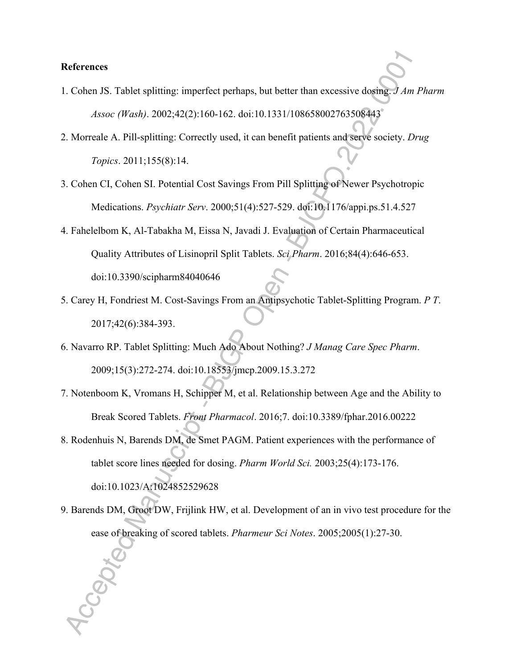#### **References**

- 1. Cohen JS. Tablet splitting: imperfect perhaps, but better than excessive dosing. *J Am Pharm Assoc (Wash)*. 2002;42(2):160-162. doi:10.1331/108658002763508443
- 2. Morreale A. Pill-splitting: Correctly used, it can benefit patients and serve society. *Drug Topics*. 2011;155(8):14.
- 3. Cohen CI, Cohen SI. Potential Cost Savings From Pill Splitting of Newer Psychotropic Medications. *Psychiatr Serv*. 2000;51(4):527-529. doi:10.1176/appi.ps.51.4.527
- 4. Fahelelbom K, Al-Tabakha M, Eissa N, Javadi J. Evaluation of Certain Pharmaceutical Quality Attributes of Lisinopril Split Tablets. *Sci Pharm*. 2016;84(4):646-653.

doi:10.3390/scipharm84040646

- 5. Carey H, Fondriest M. Cost-Savings From an Antipsychotic Tablet-Splitting Program. *P T*. 2017;42(6):384-393.
- 6. Navarro RP. Tablet Splitting: Much Ado About Nothing? *J Manag Care Spec Pharm*. 2009;15(3):272-274. doi:10.18553/jmcp.2009.15.3.272
- 7. Notenboom K, Vromans H, Schipper M, et al. Relationship between Age and the Ability to Break Scored Tablets. *Front Pharmacol*. 2016;7. doi:10.3389/fphar.2016.00222
- 8. Rodenhuis N, Barends DM, de Smet PAGM. Patient experiences with the performance of tablet score lines needed for dosing. *Pharm World Sci.* 2003;25(4):173-176. doi:10.1023/A:1024852529628
- 9. Barends DM, Groot DW, Frijlink HW, et al. Development of an in vivo test procedure for the ease of breaking of scored tablets. *Pharmeur Sci Notes*. 2005;2005(1):27-30.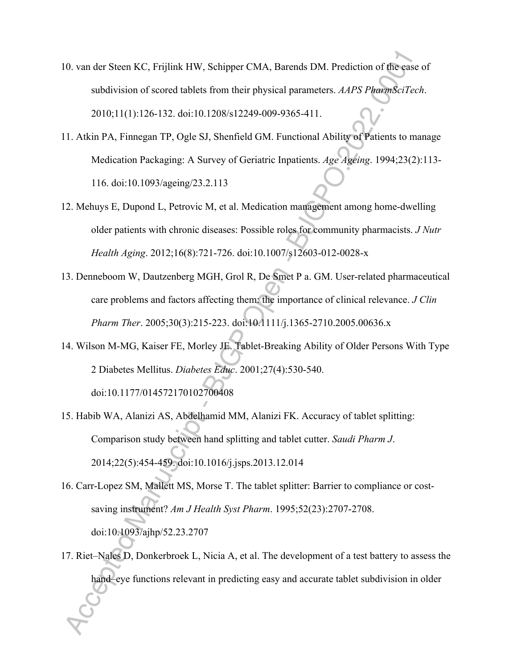- 10. van der Steen KC, Frijlink HW, Schipper CMA, Barends DM. Prediction of the ease of subdivision of scored tablets from their physical parameters. *AAPS PharmSciTech*. 2010;11(1):126-132. doi:10.1208/s12249-009-9365-411.
- 11. Atkin PA, Finnegan TP, Ogle SJ, Shenfield GM. Functional Ability of Patients to manage Medication Packaging: A Survey of Geriatric Inpatients. *Age Ageing*. 1994;23(2):113- 116. doi:10.1093/ageing/23.2.113
- 12. Mehuys E, Dupond L, Petrovic M, et al. Medication management among home-dwelling older patients with chronic diseases: Possible roles for community pharmacists. *J Nutr Health Aging*. 2012;16(8):721-726. doi:10.1007/s12603-012-0028-x
- 13. Denneboom W, Dautzenberg MGH, Grol R, De Smet P a. GM. User-related pharmaceutical care problems and factors affecting them: the importance of clinical relevance. *J Clin Pharm Ther*. 2005;30(3):215-223. doi:10.1111/j.1365-2710.2005.00636.x
- 14. Wilson M-MG, Kaiser FE, Morley JE. Tablet-Breaking Ability of Older Persons With Type 2 Diabetes Mellitus. *Diabetes Educ*. 2001;27(4):530-540. doi:10.1177/014572170102700408
- 15. Habib WA, Alanizi AS, Abdelhamid MM, Alanizi FK. Accuracy of tablet splitting: Comparison study between hand splitting and tablet cutter. *Saudi Pharm J*. 2014;22(5):454-459. doi:10.1016/j.jsps.2013.12.014
- 16. Carr-Lopez SM, Mallett MS, Morse T. The tablet splitter: Barrier to compliance or costsaving instrument? *Am J Health Syst Pharm*. 1995;52(23):2707-2708. doi:10.1093/ajhp/52.23.2707
- 17. Riet–Nales D, Donkerbroek L, Nicia A, et al. The development of a test battery to assess the hand–eye functions relevant in predicting easy and accurate tablet subdivision in older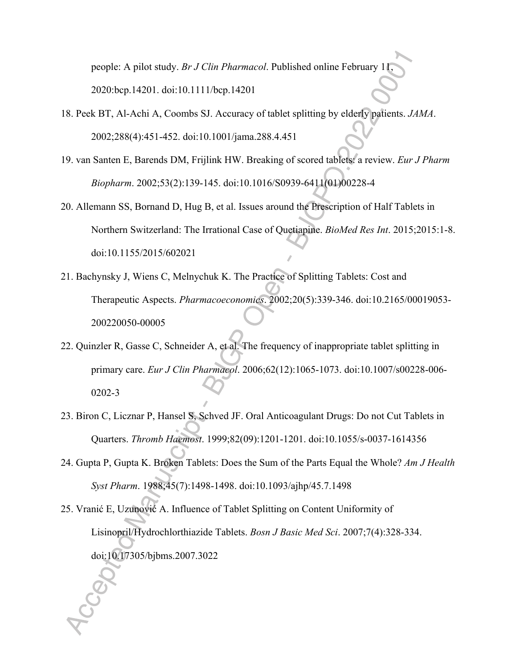people: A pilot study. *Br J Clin Pharmacol*. Published online February 11, 2020:bcp.14201. doi:10.1111/bcp.14201

- 18. Peek BT, Al-Achi A, Coombs SJ. Accuracy of tablet splitting by elderly patients. *JAMA*. 2002;288(4):451-452. doi:10.1001/jama.288.4.451
- 19. van Santen E, Barends DM, Frijlink HW. Breaking of scored tablets: a review. *Eur J Pharm Biopharm*. 2002;53(2):139-145. doi:10.1016/S0939-6411(01)00228-4
- 20. Allemann SS, Bornand D, Hug B, et al. Issues around the Prescription of Half Tablets in Northern Switzerland: The Irrational Case of Quetiapine. *BioMed Res Int*. 2015;2015:1-8. doi:10.1155/2015/602021
- 21. Bachynsky J, Wiens C, Melnychuk K. The Practice of Splitting Tablets: Cost and Therapeutic Aspects. *Pharmacoeconomics*. 2002;20(5):339-346. doi:10.2165/00019053- 200220050-00005
- 22. Quinzler R, Gasse C, Schneider A, et al. The frequency of inappropriate tablet splitting in primary care. *Eur J Clin Pharmacol*. 2006;62(12):1065-1073. doi:10.1007/s00228-006- 0202-3
- 23. Biron C, Licznar P, Hansel S, Schved JF. Oral Anticoagulant Drugs: Do not Cut Tablets in Quarters. *Thromb Haemost*. 1999;82(09):1201-1201. doi:10.1055/s-0037-1614356
- 24. Gupta P, Gupta K. Broken Tablets: Does the Sum of the Parts Equal the Whole? *Am J Health Syst Pharm*. 1988;45(7):1498-1498. doi:10.1093/ajhp/45.7.1498
- 25. Vranić E, Uzunović A. Influence of Tablet Splitting on Content Uniformity of Lisinopril/Hydrochlorthiazide Tablets. *Bosn J Basic Med Sci*. 2007;7(4):328-334. doi:10.17305/bjbms.2007.3022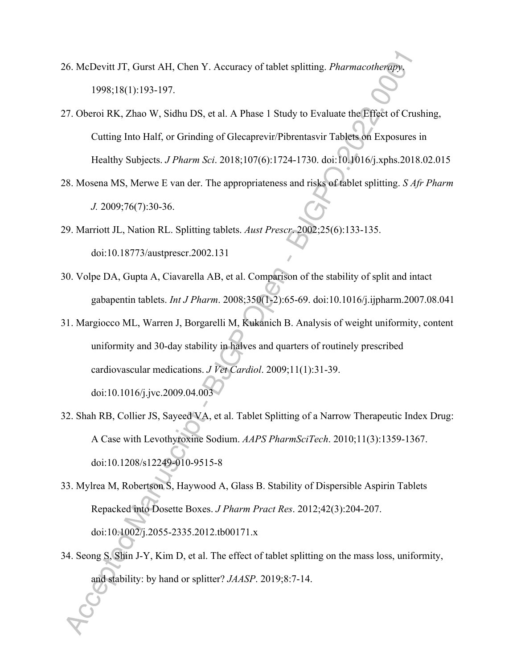- 26. McDevitt JT, Gurst AH, Chen Y. Accuracy of tablet splitting. *Pharmacotherapy*. 1998;18(1):193-197.
- 27. Oberoi RK, Zhao W, Sidhu DS, et al. A Phase 1 Study to Evaluate the Effect of Crushing, Cutting Into Half, or Grinding of Glecaprevir/Pibrentasvir Tablets on Exposures in Healthy Subjects. *J Pharm Sci*. 2018;107(6):1724-1730. doi:10.1016/j.xphs.2018.02.015
- 28. Mosena MS, Merwe E van der. The appropriateness and risks of tablet splitting. *S Afr Pharm J.* 2009;76(7):30-36.
- 29. Marriott JL, Nation RL. Splitting tablets. *Aust Prescr*. 2002;25(6):133-135. doi:10.18773/austprescr.2002.131
- 30. Volpe DA, Gupta A, Ciavarella AB, et al. Comparison of the stability of split and intact gabapentin tablets. *Int J Pharm*. 2008;350(1-2):65-69. doi:10.1016/j.ijpharm.2007.08.041
- 31. Margiocco ML, Warren J, Borgarelli M, Kukanich B. Analysis of weight uniformity, content uniformity and 30-day stability in halves and quarters of routinely prescribed cardiovascular medications. *J Vet Cardiol*. 2009;11(1):31-39. doi:10.1016/j.jvc.2009.04.003
- 32. Shah RB, Collier JS, Sayeed VA, et al. Tablet Splitting of a Narrow Therapeutic Index Drug: A Case with Levothyroxine Sodium. *AAPS PharmSciTech*. 2010;11(3):1359-1367. doi:10.1208/s12249-010-9515-8
- 33. Mylrea M, Robertson S, Haywood A, Glass B. Stability of Dispersible Aspirin Tablets Repacked into Dosette Boxes. *J Pharm Pract Res*. 2012;42(3):204-207. doi:10.1002/j.2055-2335.2012.tb00171.x
- 34. Seong S, Shin J-Y, Kim D, et al. The effect of tablet splitting on the mass loss, uniformity, and stability: by hand or splitter? *JAASP*. 2019;8:7-14.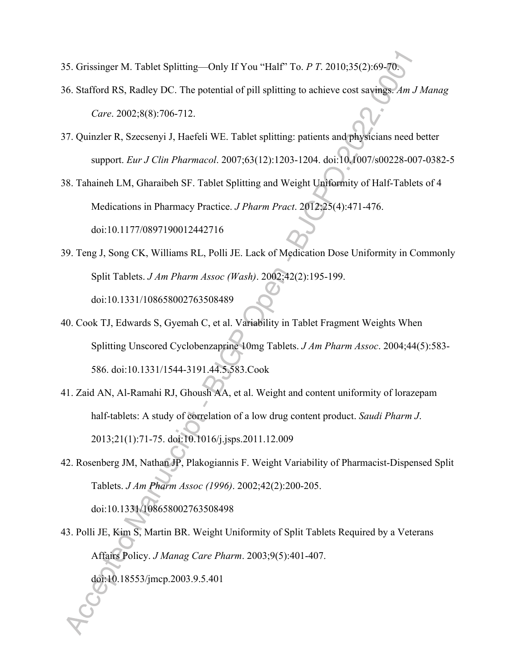- 35. Grissinger M. Tablet Splitting—Only If You "Half" To. *P T*. 2010;35(2):69-70.
- 36. Stafford RS, Radley DC. The potential of pill splitting to achieve cost savings. *Am J Manag Care*. 2002;8(8):706-712.
- 37. Quinzler R, Szecsenyi J, Haefeli WE. Tablet splitting: patients and physicians need better support. *Eur J Clin Pharmacol*. 2007;63(12):1203-1204. doi:10.1007/s00228-007-0382-5

38. Tahaineh LM, Gharaibeh SF. Tablet Splitting and Weight Uniformity of Half-Tablets of 4 Medications in Pharmacy Practice. *J Pharm Pract*. 2012;25(4):471-476.

doi:10.1177/0897190012442716

- 39. Teng J, Song CK, Williams RL, Polli JE. Lack of Medication Dose Uniformity in Commonly Split Tablets. *J Am Pharm Assoc (Wash)*. 2002;42(2):195-199. doi:10.1331/108658002763508489
- 40. Cook TJ, Edwards S, Gyemah C, et al. Variability in Tablet Fragment Weights When Splitting Unscored Cyclobenzaprine 10mg Tablets. *J Am Pharm Assoc*. 2004;44(5):583- 586. doi:10.1331/1544-3191.44.5.583.Cook
- 41. Zaid AN, Al-Ramahi RJ, Ghoush AA, et al. Weight and content uniformity of lorazepam half-tablets: A study of correlation of a low drug content product. *Saudi Pharm J*. 2013;21(1):71-75. doi:10.1016/j.jsps.2011.12.009
- 42. Rosenberg JM, Nathan JP, Plakogiannis F. Weight Variability of Pharmacist-Dispensed Split Tablets. *J Am Pharm Assoc (1996)*. 2002;42(2):200-205. doi:10.1331/108658002763508498
- 43. Polli JE, Kim S, Martin BR. Weight Uniformity of Split Tablets Required by a Veterans Affairs Policy. *J Manag Care Pharm*. 2003;9(5):401-407. doi:10.18553/jmcp.2003.9.5.401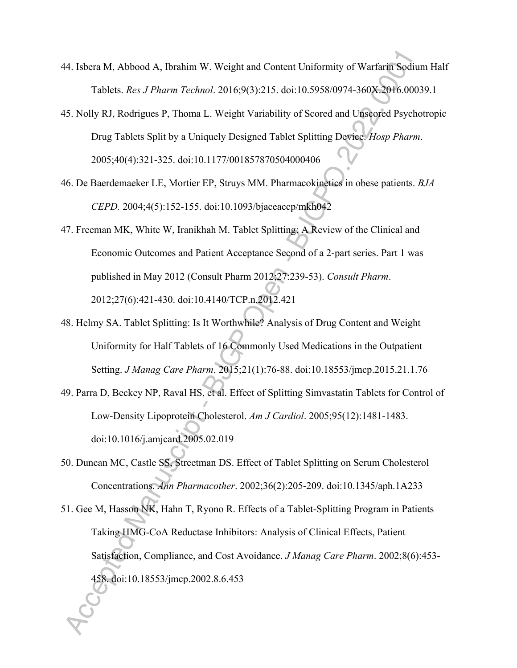- 44. Isbera M, Abbood A, Ibrahim W. Weight and Content Uniformity of Warfarin Sodium Half Tablets. *Res J Pharm Technol*. 2016;9(3):215. doi:10.5958/0974-360X.2016.00039.1
- 45. Nolly RJ, Rodrigues P, Thoma L. Weight Variability of Scored and Unscored Psychotropic Drug Tablets Split by a Uniquely Designed Tablet Splitting Device. *Hosp Pharm*. 2005;40(4):321-325. doi:10.1177/001857870504000406
- 46. De Baerdemaeker LE, Mortier EP, Struys MM. Pharmacokinetics in obese patients. *BJA CEPD.* 2004;4(5):152-155. doi:10.1093/bjaceaccp/mkh042
- 47. Freeman MK, White W, Iranikhah M. Tablet Splitting: A Review of the Clinical and Economic Outcomes and Patient Acceptance Second of a 2-part series. Part 1 was published in May 2012 (Consult Pharm 2012;27:239-53). *Consult Pharm*. 2012;27(6):421-430. doi:10.4140/TCP.n.2012.421
- 48. Helmy SA. Tablet Splitting: Is It Worthwhile? Analysis of Drug Content and Weight Uniformity for Half Tablets of 16 Commonly Used Medications in the Outpatient Setting. *J Manag Care Pharm*. 2015;21(1):76-88. doi:10.18553/jmcp.2015.21.1.76
- 49. Parra D, Beckey NP, Raval HS, et al. Effect of Splitting Simvastatin Tablets for Control of Low-Density Lipoprotein Cholesterol. *Am J Cardiol*. 2005;95(12):1481-1483. doi:10.1016/j.amjcard.2005.02.019
- 50. Duncan MC, Castle SS, Streetman DS. Effect of Tablet Splitting on Serum Cholesterol Concentrations. *Ann Pharmacother*. 2002;36(2):205-209. doi:10.1345/aph.1A233
- 51. Gee M, Hasson NK, Hahn T, Ryono R. Effects of a Tablet-Splitting Program in Patients Taking HMG-CoA Reductase Inhibitors: Analysis of Clinical Effects, Patient Satisfaction, Compliance, and Cost Avoidance. *J Manag Care Pharm*. 2002;8(6):453- 458. doi:10.18553/jmcp.2002.8.6.453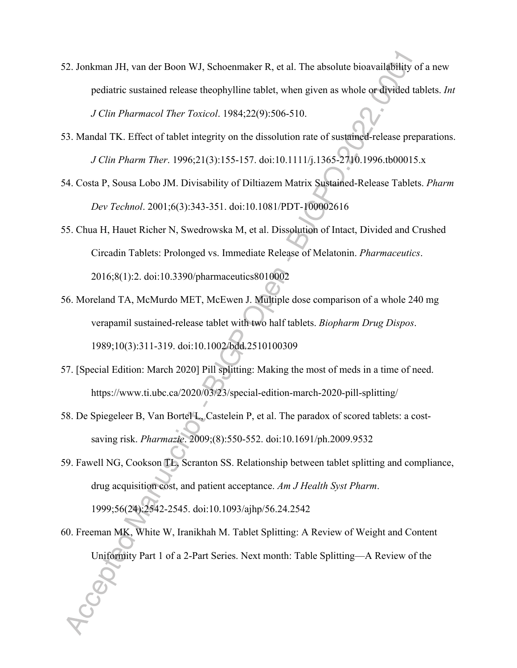- 52. Jonkman JH, van der Boon WJ, Schoenmaker R, et al. The absolute bioavailability of a new pediatric sustained release theophylline tablet, when given as whole or divided tablets. *Int J Clin Pharmacol Ther Toxicol*. 1984;22(9):506-510.
- 53. Mandal TK. Effect of tablet integrity on the dissolution rate of sustained-release preparations. *J Clin Pharm Ther*. 1996;21(3):155-157. doi:10.1111/j.1365-2710.1996.tb00015.x
- 54. Costa P, Sousa Lobo JM. Divisability of Diltiazem Matrix Sustained-Release Tablets. *Pharm Dev Technol*. 2001;6(3):343-351. doi:10.1081/PDT-100002616
- 55. Chua H, Hauet Richer N, Swedrowska M, et al. Dissolution of Intact, Divided and Crushed Circadin Tablets: Prolonged vs. Immediate Release of Melatonin. *Pharmaceutics*. 2016;8(1):2. doi:10.3390/pharmaceutics8010002
- 56. Moreland TA, McMurdo MET, McEwen J. Multiple dose comparison of a whole 240 mg verapamil sustained-release tablet with two half tablets. *Biopharm Drug Dispos*. 1989;10(3):311-319. doi:10.1002/bdd.2510100309
- 57. [Special Edition: March 2020] Pill splitting: Making the most of meds in a time of need. https://www.ti.ubc.ca/2020/03/23/special-edition-march-2020-pill-splitting/
- 58. De Spiegeleer B, Van Bortel L, Castelein P, et al. The paradox of scored tablets: a costsaving risk. *Pharmazie*. 2009;(8):550-552. doi:10.1691/ph.2009.9532
- 59. Fawell NG, Cookson TL, Scranton SS. Relationship between tablet splitting and compliance, drug acquisition cost, and patient acceptance. *Am J Health Syst Pharm*. 1999;56(24):2542-2545. doi:10.1093/ajhp/56.24.2542
- 60. Freeman MK, White W, Iranikhah M. Tablet Splitting: A Review of Weight and Content Uniformity Part 1 of a 2-Part Series. Next month: Table Splitting—A Review of the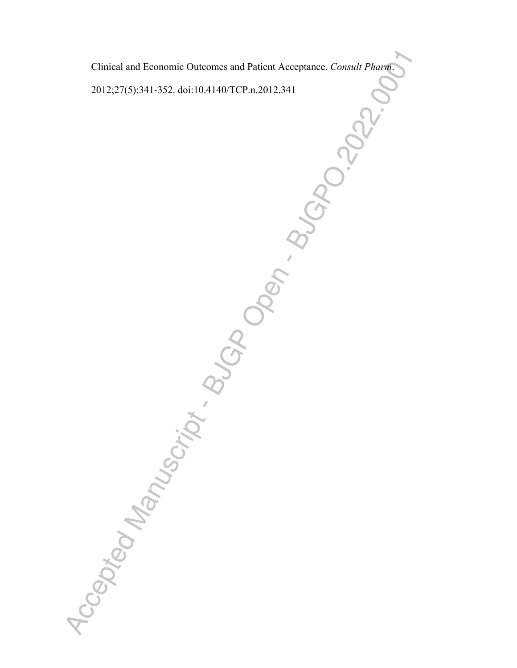Clinical and Economic Outcomes and Patient Acceptance. *Consult Pharm*.

2012;27(5):341-352. doi:10.4140/TCP.n.2012.341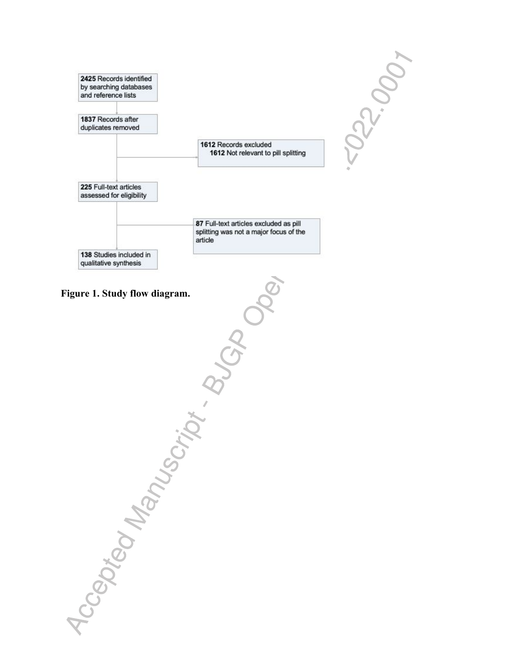